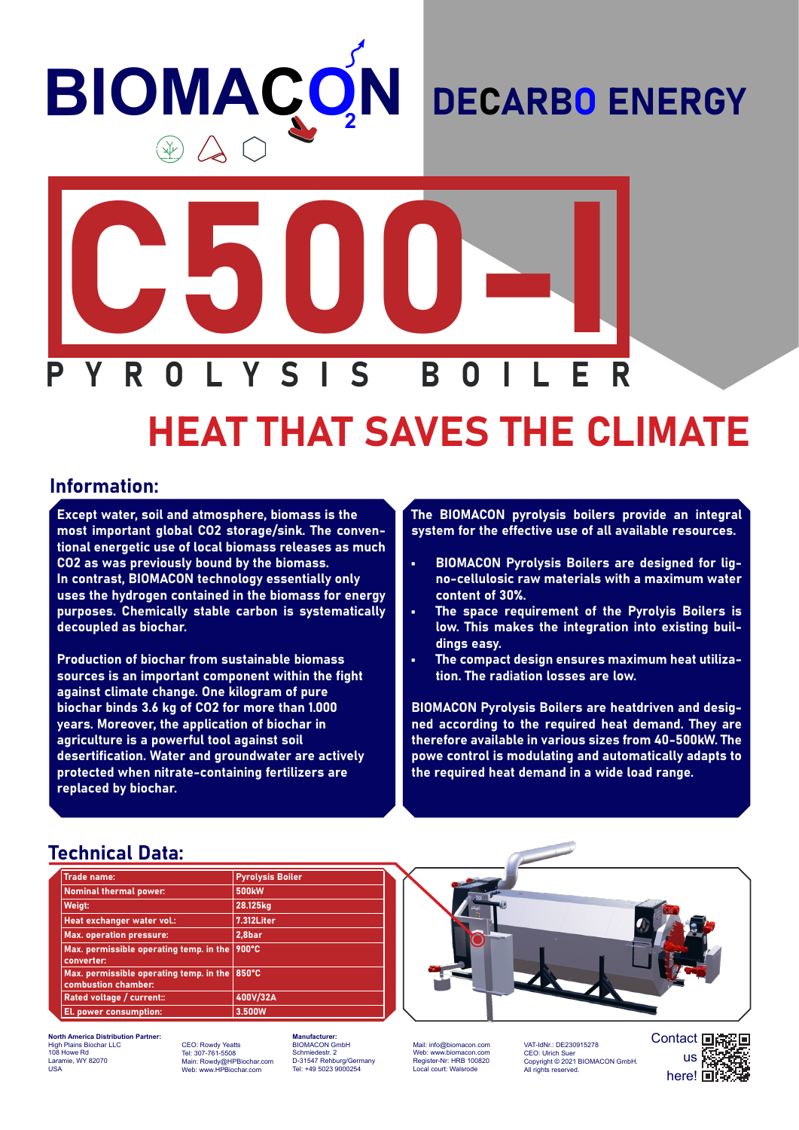# **BIOMACO N**

### DECARBO ENERGY



## HEAT THAT SAVES THE CLIMATE

#### Information:

Except water, soil and atmosphere, biomass is the most important global CO2 storage/sink. The conventional energetic use of local biomass releases as much CO2 as was previously bound by the biomass. In contrast, BIOMACON technology essentially only uses the hydrogen contained in the biomass for energy purposes. Chemically stable carbon is systematically decoupled as biochar.

Production of biochar from sustainable biomass sources is an important component within the fight against climate change. One kilogram of pure biochar binds 3.6 kg of CO2 for more than 1.000 years. Moreover, the application of biochar in agriculture is a powerful tool against soil desertification. Water and groundwater are actively protected when nitrate-containing fertilizers are replaced by biochar.

The BIOMACON pyrolysis boilers provide an integral system for the effective use of all available resources.

- BIOMACON Pyrolysis Boilers are designed for ligno-cellulosic raw materials with a maximum water content of 30%.
- The space requirement of the Pyrolyis Boilers is low. This makes the integration into existing buildings easy.
- The compact design ensures maximum heat utilization. The radiation losses are low.

BIOMACON Pyrolysis Boilers are heatdriven and designed according to the required heat demand. They are therefore available in various sizes from 40-500kW. The powe control is modulating and automatically adapts to the required heat demand in a wide load range.

#### Technical Data:

| <b>Trade name:</b>                                             | <b>Pyrolysis Boiler</b> |
|----------------------------------------------------------------|-------------------------|
| <b>Nominal thermal power:</b>                                  | <b>500kW</b>            |
| Weigt:                                                         | 28.125kg                |
| Heat exchanger water vol.:                                     | 7.312Liter              |
| <b>Max. operation pressure:</b>                                | 2,8bar                  |
| Max. permissible operating temp. in the<br>converter:          | 900°C                   |
| Max. permissible operating temp. in the<br>combustion chamber: | 850°C                   |
| Rated voltage / current::                                      | 400V/32A                |
| El. power consumption:                                         | 3.500W                  |

**North America Distribution Partner:** High Plains Biochar LLC 108 Howe Rd mie, WY 82070 USA

CEO: Rowdy Yeatts Tel: 307-761-5508 Main: Rowdy@HPBiochar.com Web: www.HPBiochar.com

**Manufacturer:** BIOMACON GmbH Schmiedestr. 2 D-31547 Rehburg/Germany Tel: +49 5023 9000254

Mail: info@biomacon.com Web: www.biomacon.com Register-Nr: HRB 100820 Local court: Walsrode

VAT-IdNr.: DE230915278<br>CEO: Ulrich Suer CEO: Ulrich Suer Copyright © 2021 BIOMACON GmbH. All rights reserved.